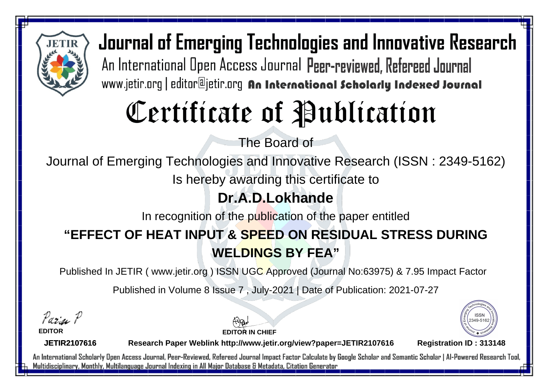

Journal of Emerging Technologies and Innovative Research An International Open Access Journal Peer-reviewed, Refereed Journal www.jetir.org | editor@jetir.org An International Scholarly Indexed Journal

# Certificate of Publication

The Board of

Journal of Emerging Technologies and Innovative Research (ISSN : 2349-5162)

Is hereby awarding this certificate to

#### **Dr.A.D.Lokhande**

In recognition of the publication of the paper entitled

### **"EFFECT OF HEAT INPUT & SPEED ON RESIDUAL STRESS DURING WELDINGS BY FEA"**

Published In JETIR ( www.jetir.org ) ISSN UGC Approved (Journal No: 63975) & 7.95 Impact Factor

Published in Volume 8 Issue 7 , July-2021 | Date of Publication: 2021-07-27

Paris P

**EDITOR**

**EDITOR IN CHIEF**



**JETIR2107616**

**Research Paper Weblink http://www.jetir.org/view?paper=JETIR2107616 Registration ID : 313148**

An International Scholarly Open Access Journal, Peer-Reviewed, Refereed Journal Impact Factor Calculate by Google Scholar and Semantic Scholar | Al-Powered Research Tool, Multidisciplinary, Monthly, Multilanguage Journal Indexing in All Major Database & Metadata, Citation Generator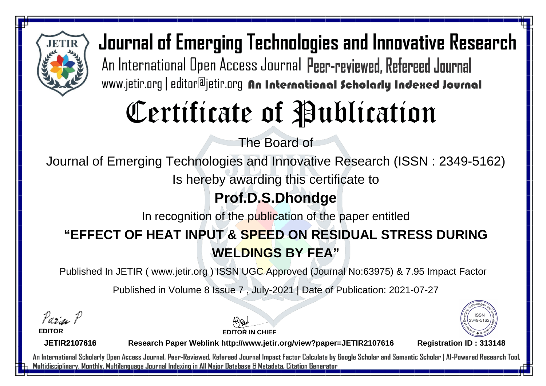

Journal of Emerging Technologies and Innovative Research An International Open Access Journal Peer-reviewed, Refereed Journal www.jetir.org | editor@jetir.org An International Scholarly Indexed Journal

# Certificate of Publication

The Board of

Journal of Emerging Technologies and Innovative Research (ISSN : 2349-5162)

Is hereby awarding this certificate to

#### **Prof.D.S.Dhondge**

In recognition of the publication of the paper entitled

### **"EFFECT OF HEAT INPUT & SPEED ON RESIDUAL STRESS DURING WELDINGS BY FEA"**

Published In JETIR ( www.jetir.org ) ISSN UGC Approved (Journal No: 63975) & 7.95 Impact Factor

Published in Volume 8 Issue 7 , July-2021 | Date of Publication: 2021-07-27

Parin P

**EDITOR**

**EDITOR IN CHIEF**



**JETIR2107616**

**Research Paper Weblink http://www.jetir.org/view?paper=JETIR2107616 Registration ID : 313148**

An International Scholarly Open Access Journal, Peer-Reviewed, Refereed Journal Impact Factor Calculate by Google Scholar and Semantic Scholar | Al-Powered Research Tool,

Multidisciplinary, Monthly, Multilanguage Journal Indexing in All Major Database & Metadata, Citation Generator